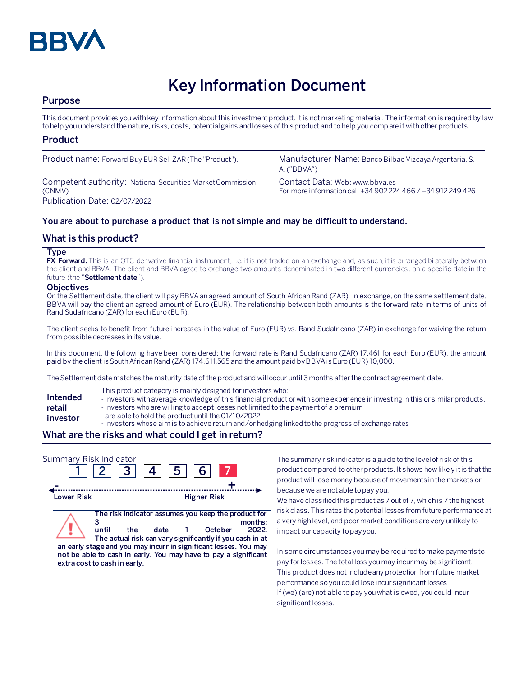

# **Key Information Document**

## **Purpose**

This document provides you with key information about this investment product. It is not marketing material. The information is required by law to help you understand the nature, risks, costs, potential gains and losses of this product and to help you compare it with other products.

#### **Product**

Competent authority: National Securities Market Commission (CNMV) Publication Date: 02/07/2022

Product name: Forward Buy EUR Sell ZAR (The "Product"). Manufacturer Name: Banco Bilbao Vizcaya Argentaria, S. A. ("BBVA")

> Contact Data: Web: www.bbva.es For more information call +34 902 224 466 / +34 912 249 426

#### **You are about to purchase a product that is not simple and may be difficult to understand.**

#### **What is this product?**

#### **Type**

**FX Forward.** This is an OTC derivative financial instrument, i.e. it is not traded on an exchange and, as such, it is arranged bilaterally between the client and BBVA. The client and BBVA agree to exchange two amounts denominated in two different currencies, on a specific date in the future (the "**Settlement date**").

#### **Objectives**

On the Settlement date, the client will pay BBVA an agreed amount of South African Rand (ZAR). In exchange, on the same settlement date, BBVA will pay the client an agreed amount of Euro (EUR). The relationship between both amounts is the forward rate in terms of units of Rand Sudafricano (ZAR) for each Euro (EUR).

The client seeks to benefit from future increases in the value of Euro (EUR) vs. Rand Sudafricano (ZAR) in exchange for waiving the return from possible decreases in its value.

In this document, the following have been considered: the forward rate is Rand Sudafricano (ZAR) 17.461 for each Euro (EUR), the amount paid by the client is South African Rand (ZAR) 174,611.565 and the amount paidby BBVA isEuro (EUR) 10,000.

The Settlement date matches the maturity date of the product and will occur until 3 months after the contract agreement date.

- This product category is mainly designed for investors who:
- **Intended**  - Investors with average knowledge of this financial product or with some experience in investing in this or similar products.
- **retail**  - Investors who are willing to accept losses not limited to the payment of a premium
- **investor** - are able to hold the product until the 01/10/2022
	- Investors whose aim is to achieve return and/or hedging linked to the progress of exchange rates

## **What are the risks and what could I get in return?**

| Summary Risk Indicator | 2     3     4     5                                                                                                                                                                                                                                                                                    |      | 6 <sup>1</sup>     |                  |
|------------------------|--------------------------------------------------------------------------------------------------------------------------------------------------------------------------------------------------------------------------------------------------------------------------------------------------------|------|--------------------|------------------|
| <b>Lower Risk</b>      |                                                                                                                                                                                                                                                                                                        |      | <b>Higher Risk</b> |                  |
|                        | The risk indicator assumes you keep the product for<br>until<br>the<br>The actual risk can vary significantly if you cash in at<br>an early stage and you may incurr in significant losses. You may<br>not be able to cash in early. You may have to pay a significant<br>extra cost to cash in early. | date | October            | months:<br>2022. |

The summary risk indicator is a guide to the level of risk of this product compared to other products. It shows how likely it is that the product will lose money because of movements in the markets or because we are not able to pay you.

We have classified this product as 7 out of 7, which is 7 the highest risk class. This rates the potential losses from future performance at a very high level, and poor market conditions are very unlikely to impact our capacity to pay you.

In some circumstances you may be required to make payments to pay for losses. The total loss you may incur may be significant. This product does not include any protection from future market performance so you could lose incur significant losses If (we) (are) not able to pay you what is owed, you could incur significant losses.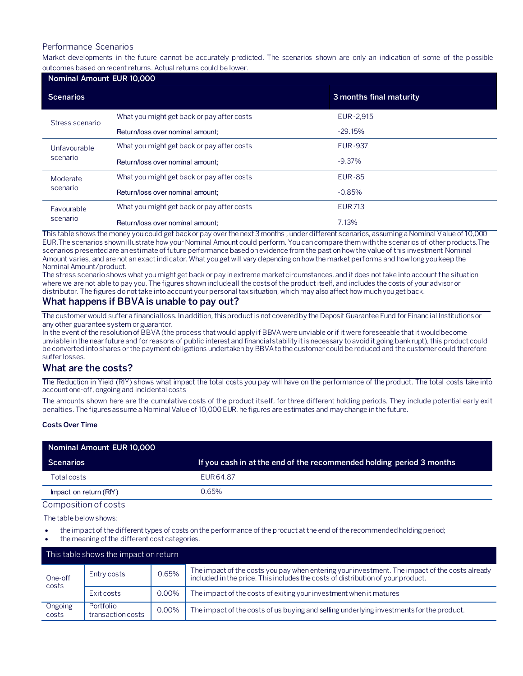#### Performance Scenarios

Market developments in the future cannot be accurately predicted. The scenarios shown are only an indication of some of the p ossible outcomes based on recent returns. Actual returns could be lower.

| Nominal Amount EUR 10,000 |                                            |                         |  |  |
|---------------------------|--------------------------------------------|-------------------------|--|--|
| <b>Scenarios</b>          |                                            | 3 months final maturity |  |  |
| Stress scenario           | What you might get back or pay after costs | EUR-2,915               |  |  |
|                           | Return/loss over nominal amount;           | $-29.15%$               |  |  |
| Unfavourable<br>scenario  | What you might get back or pay after costs | <b>EUR-937</b>          |  |  |
|                           | Return/loss over nominal amount:           | $-9.37\%$               |  |  |
| Moderate<br>scenario      | What you might get back or pay after costs | <b>EUR-85</b>           |  |  |
|                           | Return/loss over nominal amount:           | $-0.85%$                |  |  |
| Favourable<br>scenario    | What you might get back or pay after costs | <b>EUR 713</b>          |  |  |
|                           | Return/loss over nominal amount:           | 7.13%                   |  |  |

This table shows the money you could get back or pay over the next 3 months , under different scenarios, assuming a Nominal Value of 10,000 EUR.The scenarios shown illustrate how your Nominal Amount could perform. You can compare them with the scenarios of other products.The scenarios presented are an estimate of future performance based on evidence from the past on how the value of this investment Nominal Amount varies, and are not an exact indicator. What you get will vary depending on how the market performs and how long you keep the Nominal Amount/product.

The stress scenario shows what you might get back or pay in extreme market circumstances, and it does not take into account the situation where we are not able to pay you. The figures shown include all the costs of the product itself, and includes the costs of your advisor or distributor. The figures do not take into account your personal tax situation, which may also affect how much you get back.

## **What happens if BBVA is unable to pay out?**

The customer would suffer a financial loss. In addition, this product is not covered by the Deposit Guarantee Fund for Financial Institutions or any other guarantee system or guarantor.

In the event of the resolution of BBVA (the process that would apply if BBVA were unviable or if it were foreseeable that it would become unviable in the near future and for reasons of public interest and financial stability it is necessary to avoid it going bankrupt), this product could be converted into shares or the payment obligations undertaken by BBVA to the customer could be reduced and the customer could therefore suffer losses.

#### **What are the costs?**

The Reduction in Yield (RIY) shows what impact the total costs you pay will have on the performance of the product. The total costs take into account one-off, ongoing and incidental costs

The amounts shown here are the cumulative costs of the product itself, for three different holding periods. They include potential early exit penalties. The figures assume a Nominal Value of 10,000 EUR. he figures are estimates and may change in the future.

#### **Costs Over Time**

| Nominal Amount EUR 10,000 |                                                                      |
|---------------------------|----------------------------------------------------------------------|
| Scenarios                 | If you cash in at the end of the recommended holding period 3 months |
| Total costs               | EUR 64.87                                                            |
| Impact on return (RIY)    | 0.65%                                                                |
| Composition of costs      |                                                                      |

The table below shows:

- the impact of the different types of costs on the performance of the product at the end of the recommended holding period;
- the meaning of the different cost categories.

| This table shows the impact on return |                                |          |                                                                                                                                                                                   |  |
|---------------------------------------|--------------------------------|----------|-----------------------------------------------------------------------------------------------------------------------------------------------------------------------------------|--|
| One-off<br>costs                      | Entry costs                    | 0.65%    | The impact of the costs you pay when entering your investment. The impact of the costs already<br>included in the price. This includes the costs of distribution of your product. |  |
|                                       | Exit costs                     | 0.00%    | The impact of the costs of exiting your investment when it matures                                                                                                                |  |
| Ongoing<br>costs                      | Portfolio<br>transaction costs | $0.00\%$ | The impact of the costs of us buying and selling underlying investments for the product.                                                                                          |  |